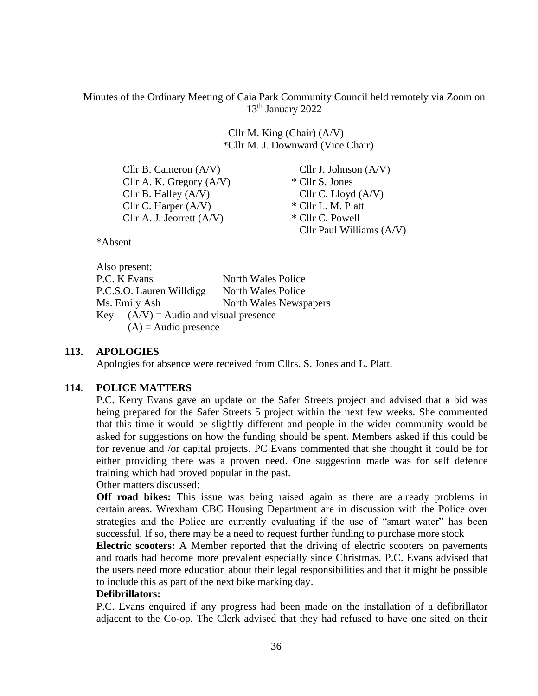Minutes of the Ordinary Meeting of Caia Park Community Council held remotely via Zoom on 13th January 2022

> Cllr M. King (Chair) (A/V) \*Cllr M. J. Downward (Vice Chair)

Cllr B. Cameron  $(A/V)$  Cllr J. Johnson  $(A/V)$ Cllr A. K. Gregory  $(A/V)$  \* Cllr S. Jones Cllr B. Halley  $(A/V)$  Cllr C. Lloyd  $(A/V)$ Cllr C. Harper  $(A/V)$  \* Cllr L. M. Platt Cllr A. J. Jeorrett  $(A/V)$  \* Cllr C. Powell

Cllr Paul Williams (A/V)

\*Absent

Also present: P.C. K Evans North Wales Police P.C.S.O. Lauren Willdigg North Wales Police Ms. Emily Ash North Wales Newspapers Key  $(A/V) =$  Audio and visual presence  $(A)$  = Audio presence

#### **113. APOLOGIES**

Apologies for absence were received from Cllrs. S. Jones and L. Platt.

#### **114**. **POLICE MATTERS**

P.C. Kerry Evans gave an update on the Safer Streets project and advised that a bid was being prepared for the Safer Streets 5 project within the next few weeks. She commented that this time it would be slightly different and people in the wider community would be asked for suggestions on how the funding should be spent. Members asked if this could be for revenue and /or capital projects. PC Evans commented that she thought it could be for either providing there was a proven need. One suggestion made was for self defence training which had proved popular in the past.

Other matters discussed:

**Off road bikes:** This issue was being raised again as there are already problems in certain areas. Wrexham CBC Housing Department are in discussion with the Police over strategies and the Police are currently evaluating if the use of "smart water" has been successful. If so, there may be a need to request further funding to purchase more stock

**Electric scooters:** A Member reported that the driving of electric scooters on pavements and roads had become more prevalent especially since Christmas. P.C. Evans advised that the users need more education about their legal responsibilities and that it might be possible to include this as part of the next bike marking day.

#### **Defibrillators:**

P.C. Evans enquired if any progress had been made on the installation of a defibrillator adjacent to the Co-op. The Clerk advised that they had refused to have one sited on their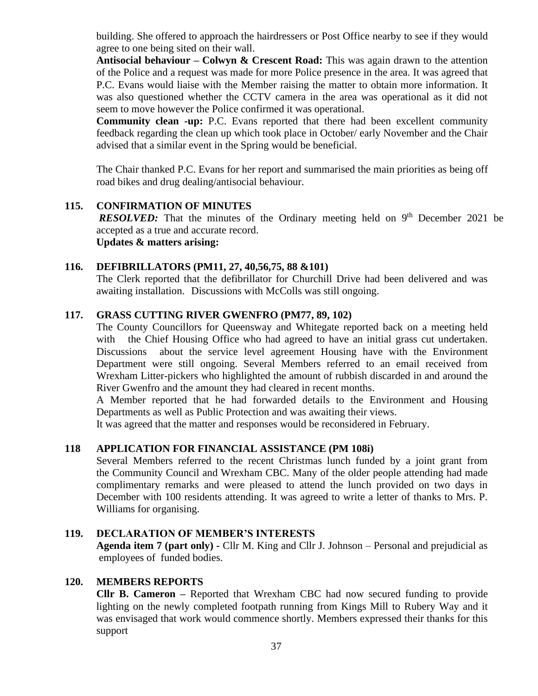building. She offered to approach the hairdressers or Post Office nearby to see if they would agree to one being sited on their wall.

**Antisocial behaviour – Colwyn & Crescent Road:** This was again drawn to the attention of the Police and a request was made for more Police presence in the area. It was agreed that P.C. Evans would liaise with the Member raising the matter to obtain more information. It was also questioned whether the CCTV camera in the area was operational as it did not seem to move however the Police confirmed it was operational.

**Community clean -up:** P.C. Evans reported that there had been excellent community feedback regarding the clean up which took place in October/ early November and the Chair advised that a similar event in the Spring would be beneficial.

The Chair thanked P.C. Evans for her report and summarised the main priorities as being off road bikes and drug dealing/antisocial behaviour.

# **115. CONFIRMATION OF MINUTES**

**RESOLVED:** That the minutes of the Ordinary meeting held on 9<sup>th</sup> December 2021 be accepted as a true and accurate record. **Updates & matters arising:**

# **116. DEFIBRILLATORS (PM11, 27, 40,56,75, 88 &101)**

The Clerk reported that the defibrillator for Churchill Drive had been delivered and was awaiting installation. Discussions with McColls was still ongoing.

## **117. GRASS CUTTING RIVER GWENFRO (PM77, 89, 102)**

The County Councillors for Queensway and Whitegate reported back on a meeting held with the Chief Housing Office who had agreed to have an initial grass cut undertaken. Discussions about the service level agreement Housing have with the Environment Department were still ongoing. Several Members referred to an email received from Wrexham Litter-pickers who highlighted the amount of rubbish discarded in and around the River Gwenfro and the amount they had cleared in recent months.

A Member reported that he had forwarded details to the Environment and Housing Departments as well as Public Protection and was awaiting their views.

It was agreed that the matter and responses would be reconsidered in February.

## **118 APPLICATION FOR FINANCIAL ASSISTANCE (PM 108i)**

Several Members referred to the recent Christmas lunch funded by a joint grant from the Community Council and Wrexham CBC. Many of the older people attending had made complimentary remarks and were pleased to attend the lunch provided on two days in December with 100 residents attending. It was agreed to write a letter of thanks to Mrs. P. Williams for organising.

## **119. DECLARATION OF MEMBER'S INTERESTS**

**Agenda item 7 (part only) -** Cllr M. King and Cllr J. Johnson – Personal and prejudicial as employees of funded bodies.

## **120. MEMBERS REPORTS**

**Cllr B. Cameron –** Reported that Wrexham CBC had now secured funding to provide lighting on the newly completed footpath running from Kings Mill to Rubery Way and it was envisaged that work would commence shortly. Members expressed their thanks for this support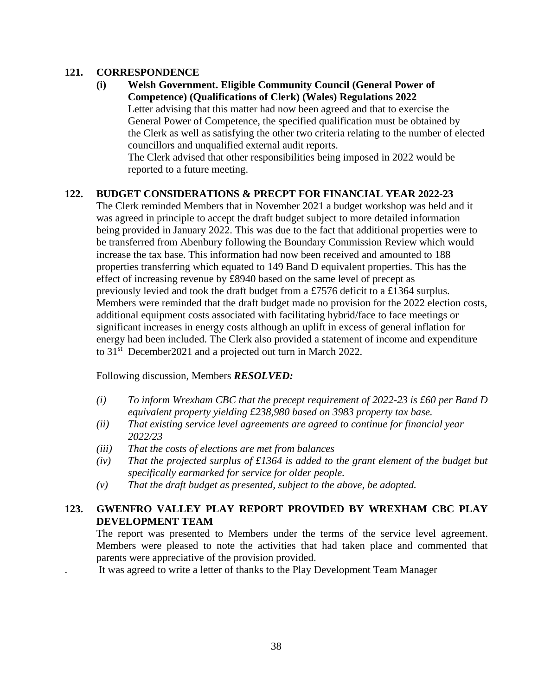# **121. CORRESPONDENCE**

**(i) Welsh Government. Eligible Community Council (General Power of Competence) (Qualifications of Clerk) (Wales) Regulations 2022** Letter advising that this matter had now been agreed and that to exercise the General Power of Competence, the specified qualification must be obtained by the Clerk as well as satisfying the other two criteria relating to the number of elected councillors and unqualified external audit reports. The Clerk advised that other responsibilities being imposed in 2022 would be reported to a future meeting.

# **122. BUDGET CONSIDERATIONS & PRECPT FOR FINANCIAL YEAR 2022-23**

The Clerk reminded Members that in November 2021 a budget workshop was held and it was agreed in principle to accept the draft budget subject to more detailed information being provided in January 2022. This was due to the fact that additional properties were to be transferred from Abenbury following the Boundary Commission Review which would increase the tax base. This information had now been received and amounted to 188 properties transferring which equated to 149 Band D equivalent properties. This has the effect of increasing revenue by £8940 based on the same level of precept as previously levied and took the draft budget from a £7576 deficit to a £1364 surplus. Members were reminded that the draft budget made no provision for the 2022 election costs, additional equipment costs associated with facilitating hybrid/face to face meetings or significant increases in energy costs although an uplift in excess of general inflation for energy had been included. The Clerk also provided a statement of income and expenditure to 31<sup>st</sup> December 2021 and a projected out turn in March 2022.

Following discussion, Members *RESOLVED:*

- *(i) To inform Wrexham CBC that the precept requirement of 2022-23 is £60 per Band D equivalent property yielding £238,980 based on 3983 property tax base.*
- *(ii) That existing service level agreements are agreed to continue for financial year 2022/23*
- *(iii) That the costs of elections are met from balances*
- *(iv) That the projected surplus of £1364 is added to the grant element of the budget but specifically earmarked for service for older people.*
- *(v) That the draft budget as presented, subject to the above, be adopted.*

# **123. GWENFRO VALLEY PLAY REPORT PROVIDED BY WREXHAM CBC PLAY DEVELOPMENT TEAM**

The report was presented to Members under the terms of the service level agreement. Members were pleased to note the activities that had taken place and commented that parents were appreciative of the provision provided.

. It was agreed to write a letter of thanks to the Play Development Team Manager